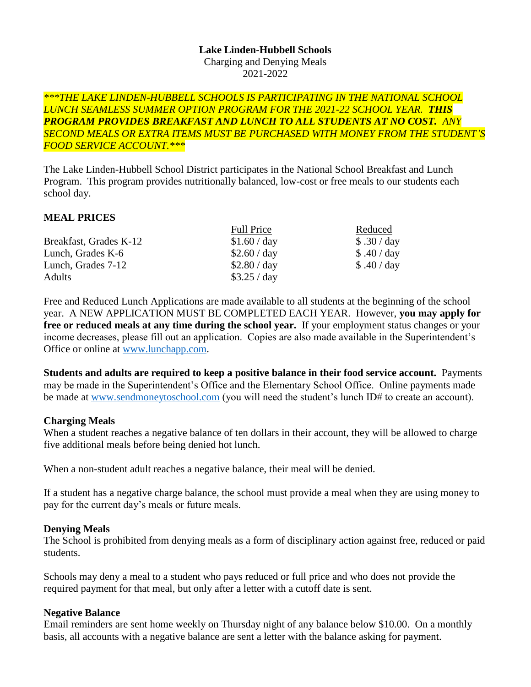#### **Lake Linden-Hubbell Schools** Charging and Denying Meals 2021-2022

#### *\*\*\*THE LAKE LINDEN-HUBBELL SCHOOLS IS PARTICIPATING IN THE NATIONAL SCHOOL LUNCH SEAMLESS SUMMER OPTION PROGRAM FOR THE 2021-22 SCHOOL YEAR. THIS PROGRAM PROVIDES BREAKFAST AND LUNCH TO ALL STUDENTS AT NO COST. ANY SECOND MEALS OR EXTRA ITEMS MUST BE PURCHASED WITH MONEY FROM THE STUDENT'S FOOD SERVICE ACCOUNT.\*\*\**

The Lake Linden-Hubbell School District participates in the National School Breakfast and Lunch Program. This program provides nutritionally balanced, low-cost or free meals to our students each school day.

## **MEAL PRICES**

|                        | <b>Full Price</b> | Reduced     |
|------------------------|-------------------|-------------|
| Breakfast, Grades K-12 | \$1.60 / day      | \$.30 / day |
| Lunch, Grades K-6      | \$2.60 / day      | \$.40/day   |
| Lunch, Grades 7-12     | \$2.80 / day      | \$.40 / day |
| <b>Adults</b>          | \$3.25 / day      |             |

Free and Reduced Lunch Applications are made available to all students at the beginning of the school year. A NEW APPLICATION MUST BE COMPLETED EACH YEAR. However, **you may apply for free or reduced meals at any time during the school year.** If your employment status changes or your income decreases, please fill out an application. Copies are also made available in the Superintendent's Office or online at [www.lunchapp.com.](http://www.lunchapp.com/)

**Students and adults are required to keep a positive balance in their food service account.** Payments may be made in the Superintendent's Office and the Elementary School Office. Online payments made be made at [www.sendmoneytoschool.com](http://www.sendmoneytoschool.com/) (you will need the student's lunch ID# to create an account).

## **Charging Meals**

When a student reaches a negative balance of ten dollars in their account, they will be allowed to charge five additional meals before being denied hot lunch.

When a non-student adult reaches a negative balance, their meal will be denied.

If a student has a negative charge balance, the school must provide a meal when they are using money to pay for the current day's meals or future meals.

## **Denying Meals**

The School is prohibited from denying meals as a form of disciplinary action against free, reduced or paid students.

Schools may deny a meal to a student who pays reduced or full price and who does not provide the required payment for that meal, but only after a letter with a cutoff date is sent.

## **Negative Balance**

Email reminders are sent home weekly on Thursday night of any balance below \$10.00. On a monthly basis, all accounts with a negative balance are sent a letter with the balance asking for payment.